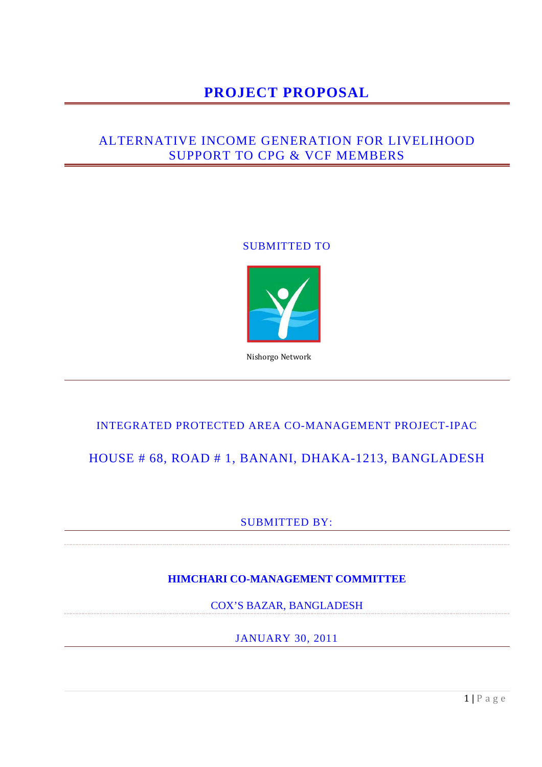# **PROJECT PROPOSAL**

## ALTERNATIVE INCOME GENERATION FOR LIVELIHOOD SUPPORT TO CPG & VCF MEMBERS

### SUBMITTED TO



Nishorgo Network

### INTEGRATED PROTECTED AREA CO-MANAGEMENT PROJECT-IPAC

## HOUSE # 68, ROAD # 1, BANANI, DHAKA-1213, BANGLADESH

### SUBMITTED BY:

### **HIMCHARI CO-MANAGEMENT COMMITTEE**

COX'S BAZAR, BANGLADESH

JANUARY 30, 2011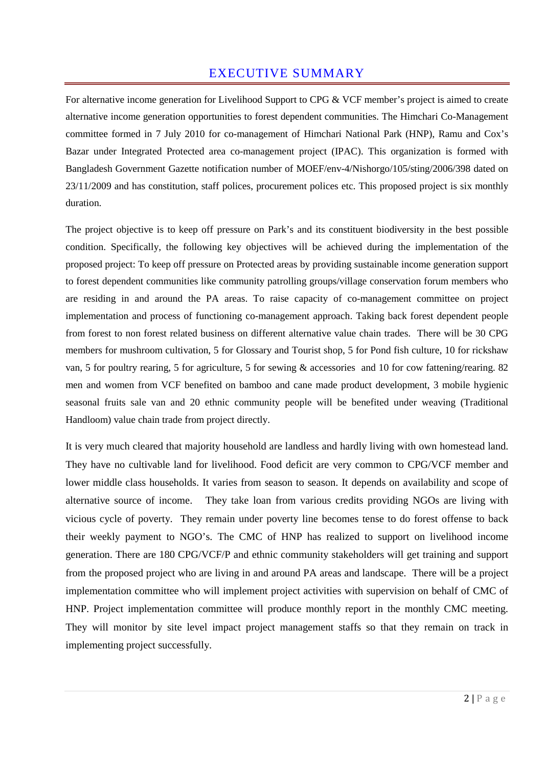## EXECUTIVE SUMMARY

For alternative income generation for Livelihood Support to CPG & VCF member's project is aimed to create alternative income generation opportunities to forest dependent communities. The Himchari Co-Management committee formed in 7 July 2010 for co-management of Himchari National Park (HNP), Ramu and Cox's Bazar under Integrated Protected area co-management project (IPAC). This organization is formed with Bangladesh Government Gazette notification number of MOEF/env-4/Nishorgo/105/sting/2006/398 dated on 23/11/2009 and has constitution, staff polices, procurement polices etc. This proposed project is six monthly duration.

The project objective is to keep off pressure on Park's and its constituent biodiversity in the best possible condition. Specifically, the following key objectives will be achieved during the implementation of the proposed project: To keep off pressure on Protected areas by providing sustainable income generation support to forest dependent communities like community patrolling groups/village conservation forum members who are residing in and around the PA areas. To raise capacity of co-management committee on project implementation and process of functioning co-management approach. Taking back forest dependent people from forest to non forest related business on different alternative value chain trades. There will be 30 CPG members for mushroom cultivation, 5 for Glossary and Tourist shop, 5 for Pond fish culture, 10 for rickshaw van, 5 for poultry rearing, 5 for agriculture, 5 for sewing & accessories and 10 for cow fattening/rearing. 82 men and women from VCF benefited on bamboo and cane made product development, 3 mobile hygienic seasonal fruits sale van and 20 ethnic community people will be benefited under weaving (Traditional Handloom) value chain trade from project directly.

It is very much cleared that majority household are landless and hardly living with own homestead land. They have no cultivable land for livelihood. Food deficit are very common to CPG/VCF member and lower middle class households. It varies from season to season. It depends on availability and scope of alternative source of income. They take loan from various credits providing NGOs are living with vicious cycle of poverty. They remain under poverty line becomes tense to do forest offense to back their weekly payment to NGO's. The CMC of HNP has realized to support on livelihood income generation. There are 180 CPG/VCF/P and ethnic community stakeholders will get training and support from the proposed project who are living in and around PA areas and landscape. There will be a project implementation committee who will implement project activities with supervision on behalf of CMC of HNP. Project implementation committee will produce monthly report in the monthly CMC meeting. They will monitor by site level impact project management staffs so that they remain on track in implementing project successfully.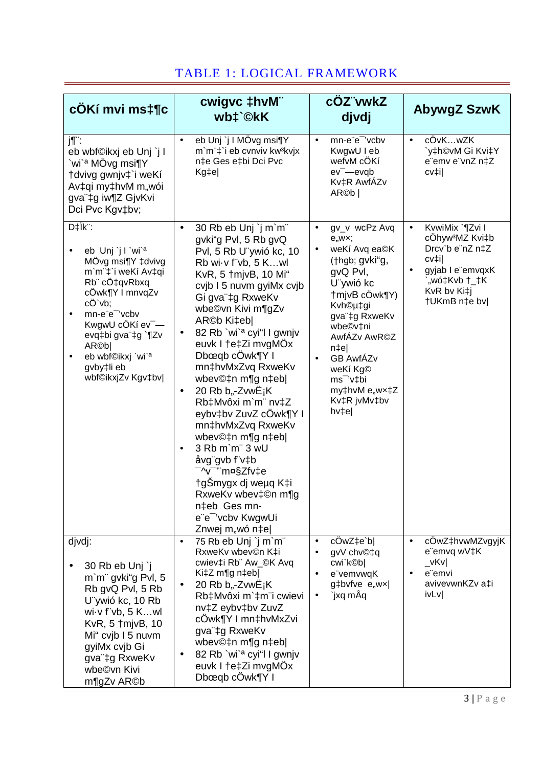| cÔKí mvi ms‡¶c                                                                                                                                                                                                                                                                                     | cwigvc ‡hvM"<br>wb‡`©kK                                                                                                                                                                                                                                                                                                                                                                                                                                                                                                                                                                                                                                                                         | cOZ"vwkZ<br>djvdj                                                                                                                                                                                                                                                                                                    | AbywgZ SzwK                                                                                                                                                 |
|----------------------------------------------------------------------------------------------------------------------------------------------------------------------------------------------------------------------------------------------------------------------------------------------------|-------------------------------------------------------------------------------------------------------------------------------------------------------------------------------------------------------------------------------------------------------------------------------------------------------------------------------------------------------------------------------------------------------------------------------------------------------------------------------------------------------------------------------------------------------------------------------------------------------------------------------------------------------------------------------------------------|----------------------------------------------------------------------------------------------------------------------------------------------------------------------------------------------------------------------------------------------------------------------------------------------------------------------|-------------------------------------------------------------------------------------------------------------------------------------------------------------|
| j¶¨:<br>eb wbf©ikxj eb Unj `j I<br>`wi` <sup>a</sup> MÖvg msi¶Y<br>†dvivg gwnjv‡`i weKí<br>Av‡qi my‡hvM m"wói<br>gva"‡g iw¶Z GjvKvi<br>Dci Pvc Kgv‡bv;                                                                                                                                             | eb Unj `j I MÖvg msi¶Y<br>$\bullet$<br>m'm"‡'i eb cvnviv kw3kvjx<br>n‡e Ges e‡bi Dci Pvc<br>Kg‡e                                                                                                                                                                                                                                                                                                                                                                                                                                                                                                                                                                                                | mn-e"e" 'vcbv<br>$\bullet$<br>KwgwU I eb<br>wefvM cÖKí<br>$ev$ <sup>-</sup> $-e$ $v$ q $b$<br>Kv‡R AwfÁZv<br>AR@b                                                                                                                                                                                                    | cÖvKwZK<br>$\bullet$<br>`y‡h©vM Gi Kvi‡Y<br>e"emv e"vnZ n‡Z<br>cv‡i                                                                                         |
| $D\ddagger$ ik":<br>eb Unj j l `wi` <sup>a</sup><br>MÖvg msi¶Y ‡dvivg<br>m`m¨‡`i weKí Av‡qi<br>Rb" cÔ‡qvRbxq<br>cÔwk¶Y I mnvqZv<br>cÖ`vb;<br>mn-e"e" 'vcbv<br>KwgwU cÖKí ev <sup>-</sup> —<br>evq‡bi gva"‡g `¶Zv<br>AR©b <br>eb wbf©ikxj `wi` <sup>a</sup><br>٠<br>gvby‡li eb<br>wbf©ikxjZv Kgv‡bv | 30 Rb eb Unj `j m`m"<br>$\bullet$<br>gvki"g Pvl, 5 Rb gvQ<br>Pvl, 5 Rb U ywió kc, 10<br>Rb wi v f vb, 5 Kwl<br>KvR, 5 †mjvB, 10 Mi"<br>cvjb I 5 nuvm gyiMx cvjb<br>Gi gva"‡g RxweKv<br>wbe©vn Kivi m¶gZv<br>AR©b Ki‡eb <br>82 Rb `wi` <sup>a</sup> cyi"l I gwnjv<br>$\bullet$<br>euvk I †e‡Zi mvgMÖx<br>Dbœqb cÖwk¶Y I<br>mn‡hvMxZvq RxweKv<br>wbev©‡n m¶g n‡eb <br>20 Rb b,,-ZvwË <sub>j</sub> K<br>٠<br>Rb‡Mvôxi m`m¨ nv‡Z<br>eybv‡bv ZuvZ cÔwk¶Y I<br>mn‡hvMxZvq RxweKv<br>wbev©‡n m¶g n‡eb <br>3 Rb m'm" 3 wU<br>$\bullet$<br>åvg"gvb f"v‡b<br><sup>-</sup> ^v <sup>-</sup> '¨m¤§Zfv‡e<br>†gŠmygx dj weµq K‡i<br>RxweKv wbev‡©n m¶g<br>n‡eb Ges mn-<br>e"e" 'vcbv KwgwUi<br>Znwej m,,wó n‡e | gv_v wcPz Avq<br>$\bullet$<br>e, wx;<br>weKí Avq ea©K<br>$\bullet$<br>(†hgb; gvki"g,<br>gvQ Pvl,<br>U ywió kc<br>†mjvB cÖwk¶Y)<br>Kvh©µ‡gi<br>gva"‡g RxweKv<br>wbe©v‡ni<br>AwfÁZv AwR©Z<br>$n \neq e$<br><b>GB AwfÁZv</b><br>$\bullet$<br>weKí Kg©<br>ms <sup>-</sup> 'v‡bi<br>my‡hvM e"wx‡Z<br>Kv‡R jvMv‡bv<br>hv‡e | KvwiMix `¶Zvi I<br>$\bullet$<br>cÖhyw <sup>3</sup> MZ Kvi‡b<br>Drcv'b e"nZ n‡Z<br>cv‡i <br>gyjab I e"emvqxK<br>`"wó‡Kvb †_‡K<br>KvR bv Ki‡j<br>†UKmB n‡e bv |
| djvdj:<br>30 Rb eb Unj `j<br>m'm" gvki"g Pvl, 5<br>Rb gvQ Pvl, 5 Rb<br>U vwió kc, 10 Rb<br>wi $\cdot$ v f"vb, 5 Kwl<br>KvR, 5 †mjvB, 10<br>Mi" cvjb I 5 nuvm<br>gyiMx cvjb Gi<br>gva"‡g RxweKv<br>wbe©vn Kivi<br>m¶gZv AR©b                                                                        | 75 Rb eb Unj `j m`m"<br>$\bullet$<br>RxweKv wbev©n K‡i<br>cwiev‡i Rb" Aw_©K Avq<br>Ki‡Z m¶g n‡eb <br>20 Rb b <sub>y</sub> -Zvw $E_iK$<br>$\bullet$<br>Rb‡Mvôxi m`‡m <sup>"</sup> i cwievi<br>nv‡Z eybv‡bv ZuvZ<br>cÔwk¶Y I mn‡hvMxZvi<br>gva"‡g RxweKv<br>wbev©‡n m¶g n‡eb <br>82 Rb `wi` <sup>a</sup> cyi"l I gwnjv<br>euvk I †e‡Zi mvgMÖx<br>Dbœqb cÔwk¶Y I                                                                                                                                                                                                                                                                                                                                   | cÖwZ‡e`b <br>$\bullet$<br>gvV chv©‡q<br>$\bullet$<br>cwi`k©b <br>e"vemvwqK<br>$\bullet$<br>g‡bvfve e"wx <br>`jxq mÂq<br>$\bullet$                                                                                                                                                                                    | cÖwZ‡hvwMZvgyjK<br>$\bullet$<br>e"emvq wV‡K<br>$_v$ vKv<br>e emvi<br>$\bullet$<br>avivevwnKZv a‡i<br>ivLv                                                   |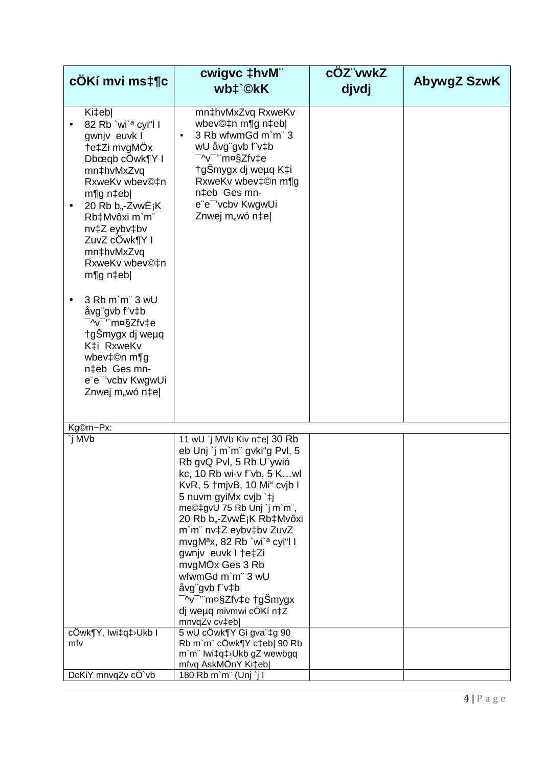| cÔKí mvi ms‡¶c                                                                                                                                                                                                                                                                                                                                                                                                                                                      | cwigvc ‡hvM"<br>wb‡`©kK                                                                                                                                                                                                                                                                                                                                                                                                                                                                                                                                      | cOZ"vwkZ<br>djvdj | <b>AbywgZ SzwK</b> |
|---------------------------------------------------------------------------------------------------------------------------------------------------------------------------------------------------------------------------------------------------------------------------------------------------------------------------------------------------------------------------------------------------------------------------------------------------------------------|--------------------------------------------------------------------------------------------------------------------------------------------------------------------------------------------------------------------------------------------------------------------------------------------------------------------------------------------------------------------------------------------------------------------------------------------------------------------------------------------------------------------------------------------------------------|-------------------|--------------------|
| Ki‡eb <br>82 Rb `wi` <sup>a</sup> cyi"l l<br>gwnjv euvk I<br>†e‡Zi mvgMÖx<br>Dbœqb cÖwk¶Y I<br>mn‡hvMxZvq<br>RxweKv wbev©‡n<br>$m$ ¶g n $\uparrow$ eb <br>20 Rb b,,-Zvw $E_iK$<br>Rb‡Mvôxi m`m"<br>nv‡Z eybv‡bv<br>ZuvZ cÔwk¶Y I<br>mn‡hvMxZvq<br>RxweKv wbev©‡n<br>m¶g n‡eb <br>3 Rb m'm" 3 wU<br>åvg"gvb f"v‡b<br><sup>-</sup> ^v <sup>-</sup> '¨m¤§Zfv‡e<br>†gSmygx dj weµq<br>K‡i RxweKv<br>wbev‡©n m¶g<br>n‡eb Ges mn-<br>e"e" 'vcbv KwgwUi<br>Znwej m,,wó n‡e | mn‡hvMxZvq RxweKv<br>wbev©‡n m¶g n‡eb <br>3 Rb wfwmGd m`m¨ 3<br>wU åvg"gvb f"v‡b<br><sup>-</sup> ^v <sup>-</sup> ‴m¤§Zfv‡e<br>†gŠmygx dj weµq K‡i<br>RxweKv wbev‡©n m¶g<br>n‡eb Ges mn-<br>e"e" 'vcbv KwgwUi<br>Znwej m,,wó n‡e                                                                                                                                                                                                                                                                                                                              |                   |                    |
| Kg©m~Px:                                                                                                                                                                                                                                                                                                                                                                                                                                                            |                                                                                                                                                                                                                                                                                                                                                                                                                                                                                                                                                              |                   |                    |
| `j MVb<br>cÖwk¶Y, Iwi‡q‡≀Ukb I                                                                                                                                                                                                                                                                                                                                                                                                                                      | 11 wU `j MVb Kiv n‡e  30 Rb<br>eb Unj `j m`m" gvki"g Pvl, 5<br>Rb gvQ Pvl, 5 Rb U"ywió<br>kc, 10 Rb wi v f vb, 5 Kwl<br>KvR, 5 † mjvB, 10 Mi" cvjb I<br>5 nuvm gyiMx cvjb `‡j<br>me©‡gvU 75 Rb Unj `j m`m",<br>20 Rb b <sub>"</sub> -ZvwE <sub>i</sub> K Rb‡Mvôxi<br>m'm" nv‡Z eybv‡bv ZuvZ<br>mvgM <sup>a</sup> x, 82 Rb `wi` <sup>a</sup> cyi"l l<br>gwnjv euvk I tetZi<br>mvgMÖx Ges 3 Rb<br>wfwmGd m'm" 3 wU<br>åvg"gvb f"v‡b<br><sup>−</sup> ^v <sup>−</sup> '¨m¤§Zfv‡e †gŠmygx<br>dj weµq mivmwi cÖKí n‡Z<br>mnvqZv cv‡eb <br>5 wU cÖwk¶Y Gi gva"‡g 90 |                   |                    |
| mfv                                                                                                                                                                                                                                                                                                                                                                                                                                                                 | Rb m'm" cÖwk¶Y c‡eb  90 Rb<br>m`m" lwi‡q‡>Ukb gZ wewbgq<br>mfvq AskMÖnY Ki‡eb                                                                                                                                                                                                                                                                                                                                                                                                                                                                                |                   |                    |
| DcKiY mnvqZv cÖ`vb                                                                                                                                                                                                                                                                                                                                                                                                                                                  | 180 Rb m'm" (Unj `j l                                                                                                                                                                                                                                                                                                                                                                                                                                                                                                                                        |                   |                    |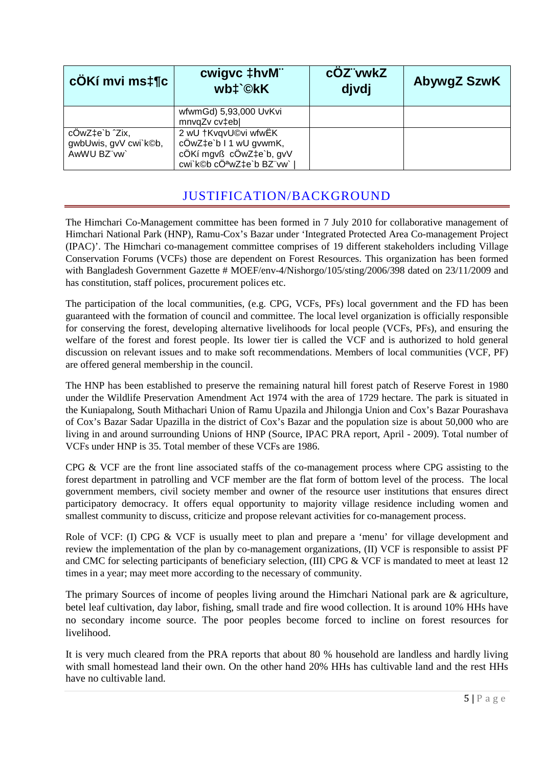| cÖKí mvi ms‡¶c                                         | cwigvc ‡hvM"<br>wb‡`©kK                                                                               | cOZ"vwkZ<br>divdi | <b>AbywgZ SzwK</b> |
|--------------------------------------------------------|-------------------------------------------------------------------------------------------------------|-------------------|--------------------|
|                                                        | wfwmGd) 5,93,000 UvKvi<br>mnvqZv cv‡eb                                                                |                   |                    |
| cÖwZ‡e`b ^Zix,<br>gwbUwis, gvV cwi`k©b,<br>AwWU BZ"vw` | 2 wU †KvqvU©vi wfwËK<br>cÖwZ‡e`b I 1 wU gvwmK,<br>cÖKí mgvß cÖwZ‡e`b, gvV<br>cwi`k©b cÖªwZ‡e`b BZ"vw` |                   |                    |

## JUSTIFICATION/BACKGROUND

The Himchari Co-Management committee has been formed in 7 July 2010 for collaborative management of Himchari National Park (HNP), Ramu-Cox's Bazar under 'Integrated Protected Area Co-management Project (IPAC)'. The Himchari co-management committee comprises of 19 different stakeholders including Village Conservation Forums (VCFs) those are dependent on Forest Resources. This organization has been formed with Bangladesh Government Gazette # MOEF/env-4/Nishorgo/105/sting/2006/398 dated on 23/11/2009 and has constitution, staff polices, procurement polices etc.

The participation of the local communities, (e.g. CPG, VCFs, PFs) local government and the FD has been guaranteed with the formation of council and committee. The local level organization is officially responsible for conserving the forest, developing alternative livelihoods for local people (VCFs, PFs), and ensuring the welfare of the forest and forest people. Its lower tier is called the VCF and is authorized to hold general discussion on relevant issues and to make soft recommendations. Members of local communities (VCF, PF) are offered general membership in the council.

The HNP has been established to preserve the remaining natural hill forest patch of Reserve Forest in 1980 under the Wildlife Preservation Amendment Act 1974 with the area of 1729 hectare. The park is situated in the Kuniapalong, South Mithachari Union of Ramu Upazila and Jhilongja Union and Cox's Bazar Pourashava of Cox's Bazar Sadar Upazilla in the district of Cox's Bazar and the population size is about 50,000 who are living in and around surrounding Unions of HNP (Source, IPAC PRA report, April - 2009). Total number of VCFs under HNP is 35. Total member of these VCFs are 1986.

CPG & VCF are the front line associated staffs of the co-management process where CPG assisting to the forest department in patrolling and VCF member are the flat form of bottom level of the process. The local government members, civil society member and owner of the resource user institutions that ensures direct participatory democracy. It offers equal opportunity to majority village residence including women and smallest community to discuss, criticize and propose relevant activities for co-management process.

Role of VCF: (I) CPG & VCF is usually meet to plan and prepare a 'menu' for village development and review the implementation of the plan by co-management organizations, (II) VCF is responsible to assist PF and CMC for selecting participants of beneficiary selection, (III) CPG & VCF is mandated to meet at least 12 times in a year; may meet more according to the necessary of community.

The primary Sources of income of peoples living around the Himchari National park are & agriculture, betel leaf cultivation, day labor, fishing, small trade and fire wood collection. It is around 10% HHs have no secondary income source. The poor peoples become forced to incline on forest resources for livelihood.

It is very much cleared from the PRA reports that about 80 % household are landless and hardly living with small homestead land their own. On the other hand 20% HHs has cultivable land and the rest HHs have no cultivable land.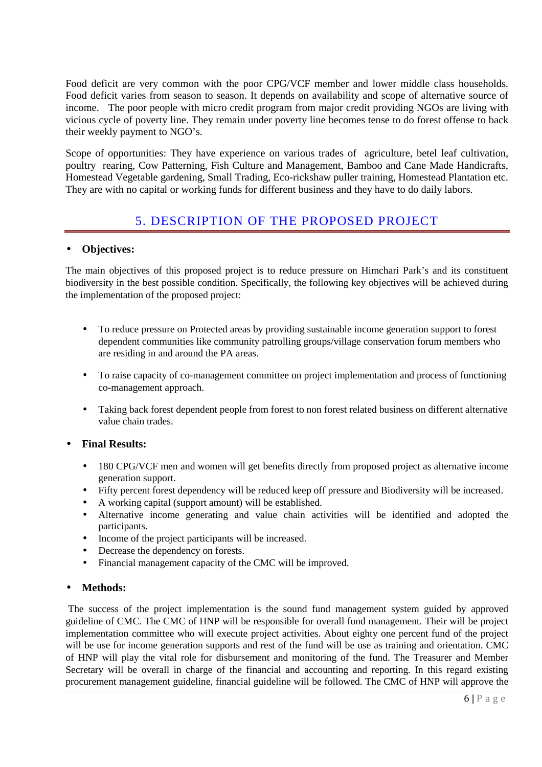Food deficit are very common with the poor CPG/VCF member and lower middle class households. Food deficit varies from season to season. It depends on availability and scope of alternative source of income. The poor people with micro credit program from major credit providing NGOs are living with vicious cycle of poverty line. They remain under poverty line becomes tense to do forest offense to back their weekly payment to NGO's.

Scope of opportunities: They have experience on various trades of agriculture, betel leaf cultivation, poultry rearing, Cow Patterning, Fish Culture and Management, Bamboo and Cane Made Handicrafts, Homestead Vegetable gardening, Small Trading, Eco-rickshaw puller training, Homestead Plantation etc. They are with no capital or working funds for different business and they have to do daily labors.

## 5. DESCRIPTION OF THE PROPOSED PROJECT

### • **Objectives:**

The main objectives of this proposed project is to reduce pressure on Himchari Park's and its constituent biodiversity in the best possible condition. Specifically, the following key objectives will be achieved during the implementation of the proposed project:

- To reduce pressure on Protected areas by providing sustainable income generation support to forest dependent communities like community patrolling groups/village conservation forum members who are residing in and around the PA areas.
- To raise capacity of co-management committee on project implementation and process of functioning co-management approach.
- Taking back forest dependent people from forest to non forest related business on different alternative value chain trades.

### • **Final Results:**

- 180 CPG/VCF men and women will get benefits directly from proposed project as alternative income generation support.
- Fifty percent forest dependency will be reduced keep off pressure and Biodiversity will be increased.
- A working capital (support amount) will be established.
- Alternative income generating and value chain activities will be identified and adopted the participants.
- Income of the project participants will be increased.
- Decrease the dependency on forests.
- Financial management capacity of the CMC will be improved.

#### • **Methods:**

 The success of the project implementation is the sound fund management system guided by approved guideline of CMC. The CMC of HNP will be responsible for overall fund management. Their will be project implementation committee who will execute project activities. About eighty one percent fund of the project will be use for income generation supports and rest of the fund will be use as training and orientation. CMC of HNP will play the vital role for disbursement and monitoring of the fund. The Treasurer and Member Secretary will be overall in charge of the financial and accounting and reporting. In this regard existing procurement management guideline, financial guideline will be followed. The CMC of HNP will approve the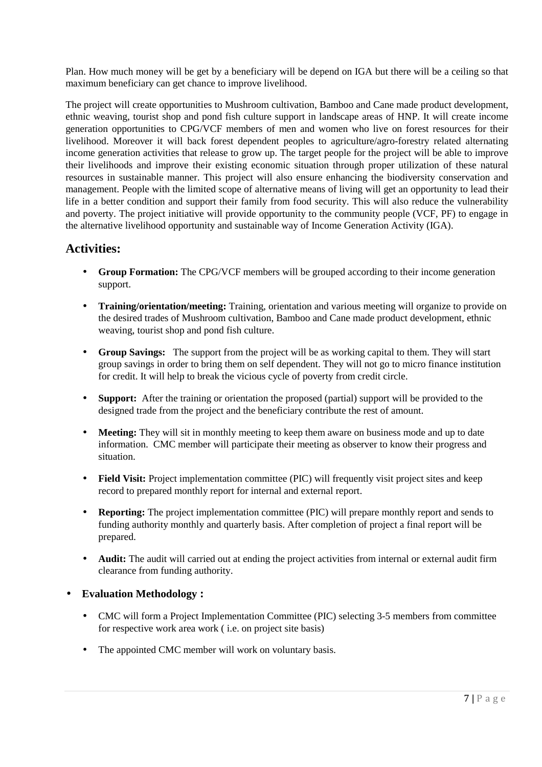Plan. How much money will be get by a beneficiary will be depend on IGA but there will be a ceiling so that maximum beneficiary can get chance to improve livelihood.

The project will create opportunities to Mushroom cultivation, Bamboo and Cane made product development, ethnic weaving, tourist shop and pond fish culture support in landscape areas of HNP. It will create income generation opportunities to CPG/VCF members of men and women who live on forest resources for their livelihood. Moreover it will back forest dependent peoples to agriculture/agro-forestry related alternating income generation activities that release to grow up. The target people for the project will be able to improve their livelihoods and improve their existing economic situation through proper utilization of these natural resources in sustainable manner. This project will also ensure enhancing the biodiversity conservation and management. People with the limited scope of alternative means of living will get an opportunity to lead their life in a better condition and support their family from food security. This will also reduce the vulnerability and poverty. The project initiative will provide opportunity to the community people (VCF, PF) to engage in the alternative livelihood opportunity and sustainable way of Income Generation Activity (IGA).

### **Activities:**

- **Group Formation:** The CPG/VCF members will be grouped according to their income generation support.
- **Training/orientation/meeting:** Training, orientation and various meeting will organize to provide on the desired trades of Mushroom cultivation, Bamboo and Cane made product development, ethnic weaving, tourist shop and pond fish culture.
- **Group Savings:** The support from the project will be as working capital to them. They will start group savings in order to bring them on self dependent. They will not go to micro finance institution for credit. It will help to break the vicious cycle of poverty from credit circle.
- **Support:** After the training or orientation the proposed (partial) support will be provided to the designed trade from the project and the beneficiary contribute the rest of amount.
- Meeting: They will sit in monthly meeting to keep them aware on business mode and up to date information. CMC member will participate their meeting as observer to know their progress and situation.
- **Field Visit:** Project implementation committee (PIC) will frequently visit project sites and keep record to prepared monthly report for internal and external report.
- **Reporting:** The project implementation committee (PIC) will prepare monthly report and sends to funding authority monthly and quarterly basis. After completion of project a final report will be prepared.
- **Audit:** The audit will carried out at ending the project activities from internal or external audit firm clearance from funding authority.

### • **Evaluation Methodology :**

- CMC will form a Project Implementation Committee (PIC) selecting 3-5 members from committee for respective work area work ( i.e. on project site basis)
- The appointed CMC member will work on voluntary basis.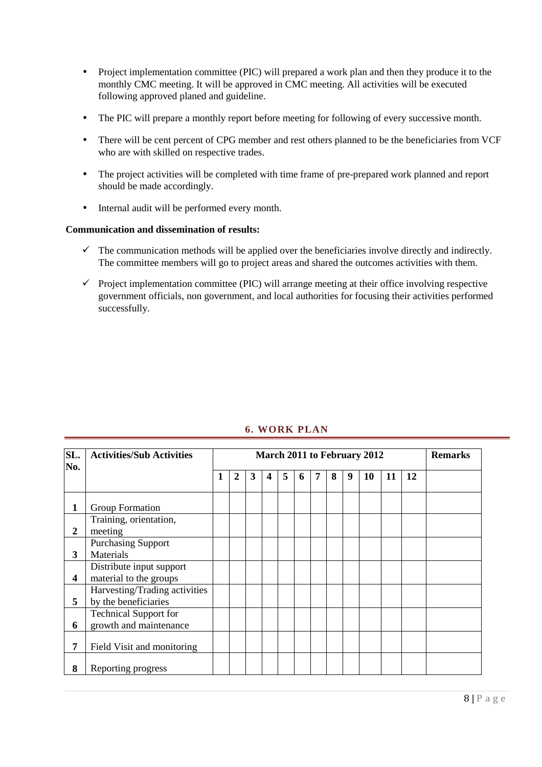- Project implementation committee (PIC) will prepared a work plan and then they produce it to the monthly CMC meeting. It will be approved in CMC meeting. All activities will be executed following approved planed and guideline.
- The PIC will prepare a monthly report before meeting for following of every successive month.
- There will be cent percent of CPG member and rest others planned to be the beneficiaries from VCF who are with skilled on respective trades.
- The project activities will be completed with time frame of pre-prepared work planned and report should be made accordingly.
- Internal audit will be performed every month.

#### **Communication and dissemination of results:**

- $\checkmark$  The communication methods will be applied over the beneficiaries involve directly and indirectly. The committee members will go to project areas and shared the outcomes activities with them.
- $\checkmark$  Project implementation committee (PIC) will arrange meeting at their office involving respective government officials, non government, and local authorities for focusing their activities performed successfully.

| SL.              | <b>Activities/Sub Activities</b>                       | March 2011 to February 2012 |                  |   |                         |   |   | <b>Remarks</b> |   |   |    |    |           |  |
|------------------|--------------------------------------------------------|-----------------------------|------------------|---|-------------------------|---|---|----------------|---|---|----|----|-----------|--|
| No.              |                                                        | 1                           | $\boldsymbol{2}$ | 3 | $\overline{\mathbf{4}}$ | 5 | 6 | 7              | 8 | 9 | 10 | 11 | <b>12</b> |  |
| 1                | Group Formation                                        |                             |                  |   |                         |   |   |                |   |   |    |    |           |  |
| $\boldsymbol{2}$ | Training, orientation,<br>meeting                      |                             |                  |   |                         |   |   |                |   |   |    |    |           |  |
| 3                | <b>Purchasing Support</b><br>Materials                 |                             |                  |   |                         |   |   |                |   |   |    |    |           |  |
| 4                | Distribute input support<br>material to the groups     |                             |                  |   |                         |   |   |                |   |   |    |    |           |  |
| 5                | Harvesting/Trading activities<br>by the beneficiaries  |                             |                  |   |                         |   |   |                |   |   |    |    |           |  |
| 6                | <b>Technical Support for</b><br>growth and maintenance |                             |                  |   |                         |   |   |                |   |   |    |    |           |  |
| 7                | Field Visit and monitoring                             |                             |                  |   |                         |   |   |                |   |   |    |    |           |  |
| 8                | Reporting progress                                     |                             |                  |   |                         |   |   |                |   |   |    |    |           |  |

### **6. WORK PLAN**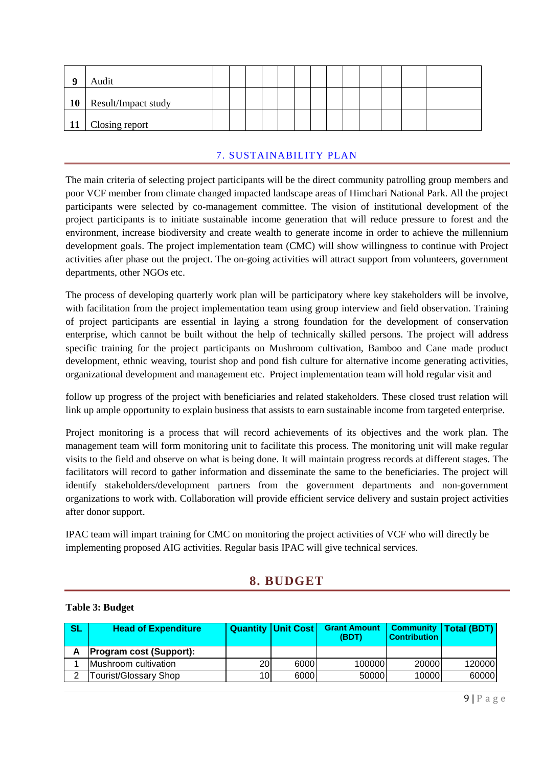| A         | Audit               |  |  |  |  |  |  |  |
|-----------|---------------------|--|--|--|--|--|--|--|
| <b>10</b> | Result/Impact study |  |  |  |  |  |  |  |
|           | 11 Closing report   |  |  |  |  |  |  |  |

### 7. SUSTAINABILITY PLAN

The main criteria of selecting project participants will be the direct community patrolling group members and poor VCF member from climate changed impacted landscape areas of Himchari National Park. All the project participants were selected by co-management committee. The vision of institutional development of the project participants is to initiate sustainable income generation that will reduce pressure to forest and the environment, increase biodiversity and create wealth to generate income in order to achieve the millennium development goals. The project implementation team (CMC) will show willingness to continue with Project activities after phase out the project. The on-going activities will attract support from volunteers, government departments, other NGOs etc.

The process of developing quarterly work plan will be participatory where key stakeholders will be involve, with facilitation from the project implementation team using group interview and field observation. Training of project participants are essential in laying a strong foundation for the development of conservation enterprise, which cannot be built without the help of technically skilled persons. The project will address specific training for the project participants on Mushroom cultivation, Bamboo and Cane made product development, ethnic weaving, tourist shop and pond fish culture for alternative income generating activities, organizational development and management etc. Project implementation team will hold regular visit and

follow up progress of the project with beneficiaries and related stakeholders. These closed trust relation will link up ample opportunity to explain business that assists to earn sustainable income from targeted enterprise.

Project monitoring is a process that will record achievements of its objectives and the work plan. The management team will form monitoring unit to facilitate this process. The monitoring unit will make regular visits to the field and observe on what is being done. It will maintain progress records at different stages. The facilitators will record to gather information and disseminate the same to the beneficiaries. The project will identify stakeholders/development partners from the government departments and non-government organizations to work with. Collaboration will provide efficient service delivery and sustain project activities after donor support.

IPAC team will impart training for CMC on monitoring the project activities of VCF who will directly be implementing proposed AIG activities. Regular basis IPAC will give technical services.

## **8. BUDGET**

#### **Table 3: Budget**

| SL | <b>Head of Expenditure</b>     |    | <b>Quantity   Unit Cost  </b> | <b>Grant Amount</b><br>(BDT) | <b>Contribution</b> | <b>Community   Total (BDT)</b> |
|----|--------------------------------|----|-------------------------------|------------------------------|---------------------|--------------------------------|
| Α  | <b>Program cost (Support):</b> |    |                               |                              |                     |                                |
|    | Mushroom cultivation           | 20 | 6000                          | 100000                       | 20000               | 120000                         |
| ົ  | Tourist/Glossary Shop          | 10 | 6000                          | 50000                        | 10000               | 60000                          |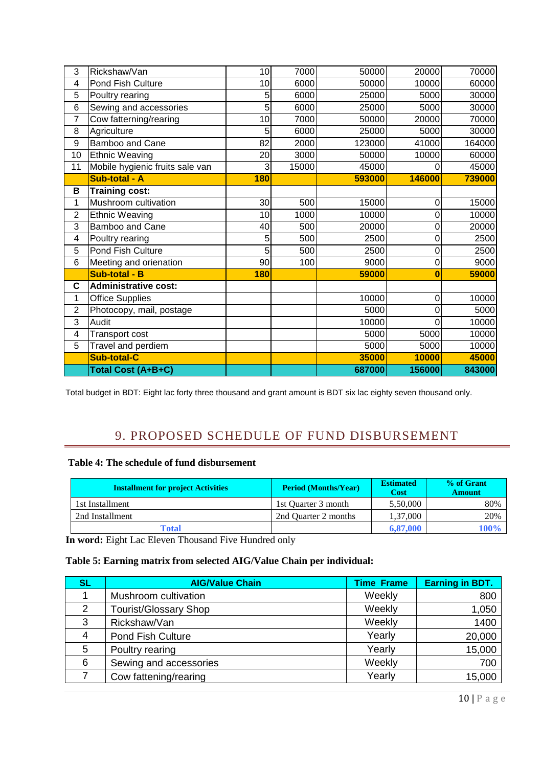| 3  | Rickshaw/Van                    | 10  | 7000  | 50000  | 20000          | 70000  |
|----|---------------------------------|-----|-------|--------|----------------|--------|
| 4  | Pond Fish Culture               | 10  | 6000  | 50000  | 10000          | 60000  |
| 5  | Poultry rearing                 | 5   | 6000  | 25000  | 5000           | 30000  |
| 6  | Sewing and accessories          | 5   | 6000  | 25000  | 5000           | 30000  |
| 7  | Cow fatterning/rearing          | 10  | 7000  | 50000  | 20000          | 70000  |
| 8  | Agriculture                     | 5   | 6000  | 25000  | 5000           | 30000  |
| 9  | <b>Bamboo and Cane</b>          | 82  | 2000  | 123000 | 41000          | 164000 |
| 10 | <b>Ethnic Weaving</b>           | 20  | 3000  | 50000  | 10000          | 60000  |
| 11 | Mobile hygienic fruits sale van | 3   | 15000 | 45000  | 0              | 45000  |
|    | Sub-total - A                   | 180 |       | 593000 | 146000         | 739000 |
| B  | <b>Training cost:</b>           |     |       |        |                |        |
| 1  | Mushroom cultivation            | 30  | 500   | 15000  | $\mathbf 0$    | 15000  |
| 2  | <b>Ethnic Weaving</b>           | 10  | 1000  | 10000  | $\mathbf 0$    | 10000  |
| 3  | <b>Bamboo and Cane</b>          | 40  | 500   | 20000  | $\mathbf 0$    | 20000  |
| 4  | Poultry rearing                 | 5   | 500   | 2500   | $\mathbf 0$    | 2500   |
| 5  | Pond Fish Culture               | 5   | 500   | 2500   | $\mathbf 0$    | 2500   |
| 6  | Meeting and orienation          | 90  | 100   | 9000   | $\mathbf 0$    | 9000   |
|    | Sub-total - B                   | 180 |       | 59000  | $\bf{0}$       | 59000  |
| C  | <b>Administrative cost:</b>     |     |       |        |                |        |
| 1  | <b>Office Supplies</b>          |     |       | 10000  | $\mathbf 0$    | 10000  |
| 2  | Photocopy, mail, postage        |     |       | 5000   | $\mathbf 0$    | 5000   |
| 3  | Audit                           |     |       | 10000  | $\overline{0}$ | 10000  |
| 4  | Transport cost                  |     |       | 5000   | 5000           | 10000  |
| 5  | Travel and perdiem              |     |       | 5000   | 5000           | 10000  |
|    | <b>Sub-total-C</b>              |     |       | 35000  | 10000          | 45000  |
|    | Total Cost (A+B+C)              |     |       | 687000 | 156000         | 843000 |

Total budget in BDT: Eight lac forty three thousand and grant amount is BDT six lac eighty seven thousand only.

## 9. PROPOSED SCHEDULE OF FUND DISBURSEMENT

#### **Table 4: The schedule of fund disbursement**

| <b>Installment for project Activities</b> | <b>Period (Months/Year)</b> | <b>Estimated</b><br><b>Cost</b> | % of Grant<br><b>Amount</b> |
|-------------------------------------------|-----------------------------|---------------------------------|-----------------------------|
| 1st Installment                           | 1st Ouarter 3 month         | 5.50,000                        | 80%                         |
| 2nd Installment                           | 2nd Quarter 2 months        | 1,37,000                        | 20%                         |
| Total                                     |                             | 6,87,000                        | 100%                        |

**In word:** Eight Lac Eleven Thousand Five Hundred only

#### **Table 5: Earning matrix from selected AIG/Value Chain per individual:**

| <b>SL</b> | <b>AIG/Value Chain</b>       | <b>Time Frame</b> | <b>Earning in BDT.</b> |
|-----------|------------------------------|-------------------|------------------------|
|           | Mushroom cultivation         | Weekly            | 800                    |
| 2         | <b>Tourist/Glossary Shop</b> | Weekly            | 1,050                  |
| 3         | Rickshaw/Van                 | Weekly            | 1400                   |
| 4         | <b>Pond Fish Culture</b>     | Yearly            | 20,000                 |
| 5         | Poultry rearing              | Yearly            | 15,000                 |
| 6         | Sewing and accessories       | Weekly            | 700                    |
|           | Cow fattening/rearing        | Yearly            | 15,000                 |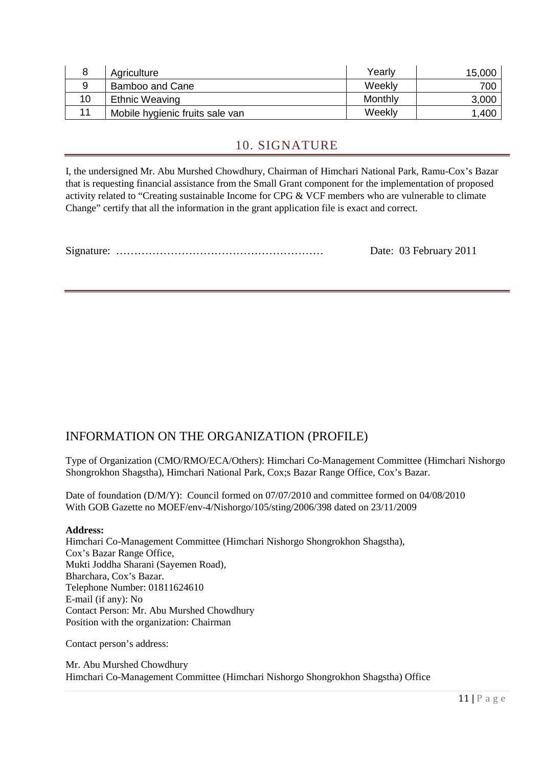|    | Agriculture                     | Yearly  | 15,000 |
|----|---------------------------------|---------|--------|
|    | Bamboo and Cane                 | Weekly  | 700    |
| 10 | <b>Ethnic Weaving</b>           | Monthly | 3,000  |
| 11 | Mobile hygienic fruits sale van | Weekly  | 1,400  |

## 10. SIGNATURE

I, the undersigned Mr. Abu Murshed Chowdhury, Chairman of Himchari National Park, Ramu-Cox's Bazar that is requesting financial assistance from the Small Grant component for the implementation of proposed activity related to "Creating sustainable Income for CPG & VCF members who are vulnerable to climate Change" certify that all the information in the grant application file is exact and correct.

Signature: ………………………………………………… Date: 03 February 2011

## INFORMATION ON THE ORGANIZATION (PROFILE)

Type of Organization (CMO/RMO/ECA/Others): Himchari Co-Management Committee (Himchari Nishorgo Shongrokhon Shagstha), Himchari National Park, Cox;s Bazar Range Office, Cox's Bazar.

Date of foundation (D/M/Y): Council formed on 07/07/2010 and committee formed on 04/08/2010 With GOB Gazette no MOEF/env-4/Nishorgo/105/sting/2006/398 dated on 23/11/2009

#### **Address:**

Himchari Co-Management Committee (Himchari Nishorgo Shongrokhon Shagstha), Cox's Bazar Range Office, Mukti Joddha Sharani (Sayemen Road), Bharchara, Cox's Bazar. Telephone Number: 01811624610 E-mail (if any): No Contact Person: Mr. Abu Murshed Chowdhury Position with the organization: Chairman

Contact person's address:

Mr. Abu Murshed Chowdhury Himchari Co-Management Committee (Himchari Nishorgo Shongrokhon Shagstha) Office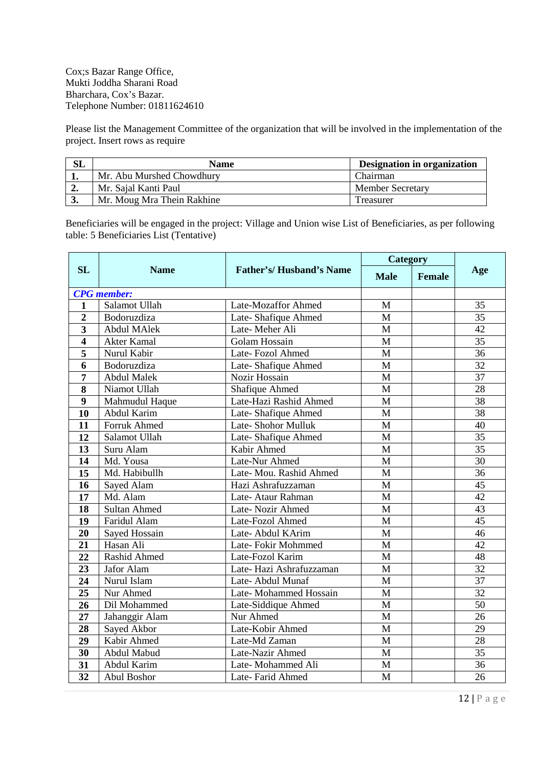Cox;s Bazar Range Office, Mukti Joddha Sharani Road Bharchara, Cox's Bazar. Telephone Number: 01811624610

Please list the Management Committee of the organization that will be involved in the implementation of the project. Insert rows as require

| SL | <b>Name</b>                | Designation in organization |
|----|----------------------------|-----------------------------|
|    | Mr. Abu Murshed Chowdhury  | Chairman                    |
| ∸. | Mr. Sajal Kanti Paul       | <b>Member Secretary</b>     |
|    | Mr. Moug Mra Thein Rakhine | Treasurer                   |

Beneficiaries will be engaged in the project: Village and Union wise List of Beneficiaries, as per following table: 5 Beneficiaries List (Tentative)

|                         |                     |                                | Category    |               |                 |
|-------------------------|---------------------|--------------------------------|-------------|---------------|-----------------|
| SL                      | <b>Name</b>         | <b>Father's/Husband's Name</b> | <b>Male</b> | <b>Female</b> | Age             |
|                         | <b>CPG</b> member:  |                                |             |               |                 |
| $\mathbf{1}$            | Salamot Ullah       | Late-Mozaffor Ahmed            | M           |               | 35              |
| $\overline{2}$          | Bodoruzdiza         | Late-Shafique Ahmed            | M           |               | 35              |
| 3                       | <b>Abdul MAlek</b>  | Late-Meher Ali                 | M           |               | 42              |
| $\overline{\mathbf{4}}$ | <b>Akter Kamal</b>  | <b>Golam Hossain</b>           | M           |               | 35              |
| 5                       | Nurul Kabir         | Late-Fozol Ahmed               | M           |               | 36              |
| 6                       | Bodoruzdiza         | Late-Shafique Ahmed            | M           |               | 32              |
| $\overline{7}$          | <b>Abdul Malek</b>  | Nozir Hossain                  | M           |               | 37              |
| 8                       | Niamot Ullah        | Shafique Ahmed                 | M           |               | 28              |
| 9                       | Mahmudul Haque      | Late-Hazi Rashid Ahmed         | M           |               | 38              |
| 10                      | Abdul Karim         | Late-Shafique Ahmed            | M           |               | 38              |
| 11                      | <b>Forruk Ahmed</b> | Late-Shohor Mulluk             | M           |               | 40              |
| 12                      | Salamot Ullah       | Late-Shafique Ahmed            | M           |               | 35              |
| 13                      | Suru Alam           | Kabir Ahmed                    | M           |               | 35              |
| 14                      | Md. Yousa           | Late-Nur Ahmed                 | M           |               | 30              |
| 15                      | Md. Habibullh       | Late- Mou. Rashid Ahmed        | M           |               | 36              |
| 16                      | Sayed Alam          | Hazi Ashrafuzzaman             | M           |               | 45              |
| 17                      | Md. Alam            | Late-Ataur Rahman              | M           |               | 42              |
| 18                      | <b>Sultan Ahmed</b> | Late-Nozir Ahmed               | M           |               | 43              |
| 19                      | Faridul Alam        | Late-Fozol Ahmed               | M           |               | 45              |
| 20                      | Sayed Hossain       | Late-Abdul KArim               | M           |               | 46              |
| 21                      | Hasan Ali           | Late-Fokir Mohmmed             | M           |               | 42              |
| 22                      | Rashid Ahmed        | Late-Fozol Karim               | M           |               | 48              |
| 23                      | Jafor Alam          | Late-Hazi Ashrafuzzaman        | M           |               | 32              |
| 24                      | Nurul Islam         | Late-Abdul Munaf               | M           |               | 37              |
| 25                      | Nur Ahmed           | Late-Mohammed Hossain          | M           |               | $\overline{32}$ |
| 26                      | Dil Mohammed        | Late-Siddique Ahmed            | M           |               | 50              |
| $\overline{27}$         | Jahanggir Alam      | Nur Ahmed                      | M           |               | 26              |
| 28                      | Sayed Akbor         | Late-Kobir Ahmed               | M           |               | 29              |
| 29                      | Kabir Ahmed         | Late-Md Zaman                  | M           |               | 28              |
| 30                      | Abdul Mabud         | Late-Nazir Ahmed               | M           |               | 35              |
| 31                      | Abdul Karim         | Late-Mohammed Ali              | M           |               | 36              |
| 32                      | Abul Boshor         | Late-Farid Ahmed               | M           |               | 26              |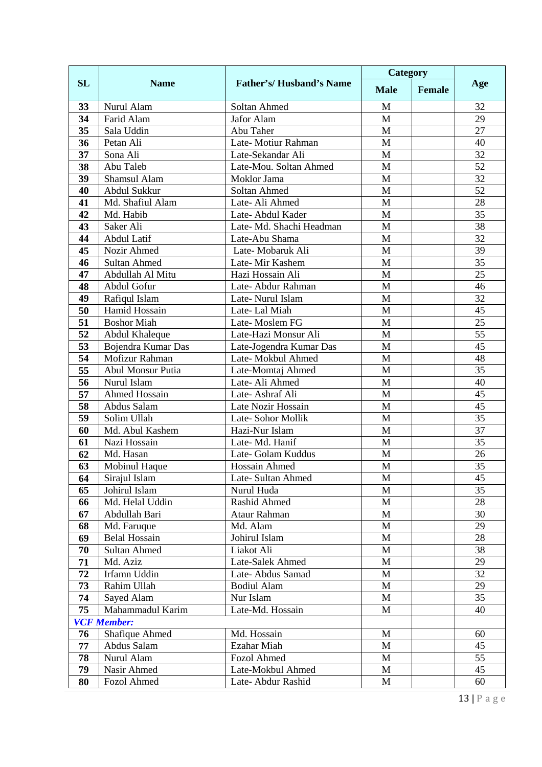|           |                                     | <b>Name</b><br><b>Father's/Husband's Name</b> | Category     |               |                 |
|-----------|-------------------------------------|-----------------------------------------------|--------------|---------------|-----------------|
| <b>SL</b> |                                     |                                               | <b>Male</b>  | <b>Female</b> | Age             |
| 33        | Nurul Alam                          | Soltan Ahmed                                  | M            |               | 32              |
| 34        | Farid Alam                          | Jafor Alam                                    | M            |               | 29              |
| 35        | Sala Uddin                          | Abu Taher                                     | M            |               | 27              |
| 36        | Petan Ali                           | Late-Motiur Rahman                            | M            |               | 40              |
| 37        | Sona Ali                            | Late-Sekandar Ali                             | M            |               | 32              |
| 38        | Abu Taleb                           | Late-Mou. Soltan Ahmed                        | M            |               | 52              |
| 39        | Shamsul Alam                        | Moklor Jama                                   | M            |               | 32              |
| 40        | Abdul Sukkur                        | Soltan Ahmed                                  | M            |               | $\overline{52}$ |
| 41        | Md. Shafiul Alam                    | Late-Ali Ahmed                                | M            |               | 28              |
| 42        | Md. Habib                           | Late-Abdul Kader                              | M            |               | 35              |
| 43        | Saker Ali                           | Late- Md. Shachi Headman                      | M            |               | 38              |
| 44        | Abdul Latif                         | Late-Abu Shama                                | M            |               | 32              |
| 45        | Nozir Ahmed                         | Late-Mobaruk Ali                              | M            |               | 39              |
| 46        | <b>Sultan Ahmed</b>                 | Late-Mir Kashem                               | M            |               | 35              |
| 47        | Abdullah Al Mitu                    | Hazi Hossain Ali                              | M            |               | 25              |
| 48        | Abdul Gofur                         | Late-Abdur Rahman                             | M            |               | 46              |
| 49        | Rafiqul Islam                       | Late-Nurul Islam                              | M            |               | 32              |
| 50        | Hamid Hossain                       | Late-Lal Miah                                 | M            |               | 45              |
| 51        | <b>Boshor Miah</b>                  | Late-Moslem FG                                | M            |               | 25              |
| 52        | Abdul Khaleque                      | Late-Hazi Monsur Ali                          | M            |               | 55              |
| 53        | Bojendra Kumar Das                  | Late-Jogendra Kumar Das                       | M            |               | 45              |
| 54        | Mofizur Rahman                      | Late- Mokbul Ahmed                            | M            |               | 48              |
| 55        | Abul Monsur Putia                   | Late-Momtaj Ahmed                             | $\mathbf M$  |               | 35              |
| 56        | Nurul Islam                         | Late-Ali Ahmed                                | M            |               | 40              |
| 57        | <b>Ahmed Hossain</b>                | Late-Ashraf Ali                               | M            |               | 45              |
| 58        | Abdus Salam                         | Late Nozir Hossain                            | M            |               | 45              |
| 59        | Solim Ullah                         | Late-Sohor Mollik                             | M            |               | 35              |
| 60        | Md. Abul Kashem                     | Hazi-Nur Islam                                | $\mathbf M$  |               | 37              |
| 61        | Nazi Hossain                        | Late-Md. Hanif                                | M            |               | 35              |
| 62        | Md. Hasan                           | Late- Golam Kuddus                            | $\mathbf{M}$ |               | 26              |
| 63        | Mobinul Haque                       | Hossain Ahmed                                 | M            |               | 35              |
| 64        | Sirajul Islam                       | Late-Sultan Ahmed                             | M            |               | 45              |
| 65        | Johirul Islam<br>Md. Helal Uddin    | Nurul Huda<br>Rashid Ahmed                    | M<br>M       |               | 35<br>28        |
| 66        | Abdullah Bari                       | <b>Ataur Rahman</b>                           | M            |               | 30              |
| 67        |                                     | Md. Alam                                      | M            |               | 29              |
| 68<br>69  | Md. Faruque<br><b>Belal Hossain</b> | Johirul Islam                                 | M            |               | 28              |
| 70        |                                     |                                               | $\mathbf{M}$ |               | 38              |
| 71        | <b>Sultan Ahmed</b><br>Md. Aziz     | Liakot Ali<br>Late-Salek Ahmed                | M            |               | 29              |
| 72        | Irfamn Uddin                        | Late-Abdus Samad                              | M            |               | 32              |
| 73        | Rahim Ullah                         | <b>Bodiul Alam</b>                            | M            |               | 29              |
| 74        |                                     | Nur Islam                                     | M            |               | 35              |
| 75        | Sayed Alam<br>Mahammadul Karim      | Late-Md. Hossain                              | $\mathbf{M}$ |               | 40              |
|           | <b>VCF Member:</b>                  |                                               |              |               |                 |
| 76        | Shafique Ahmed                      | Md. Hossain                                   | M            |               | 60              |
| 77        | Abdus Salam                         | Ezahar Miah                                   | M            |               | 45              |
| 78        | Nurul Alam                          | Fozol Ahmed                                   | M            |               | 55              |
| 79        | Nasir Ahmed                         | Late-Mokbul Ahmed                             | M            |               | 45              |
| 80        | Fozol Ahmed                         | Late-Abdur Rashid                             | M            |               | 60              |
|           |                                     |                                               |              |               |                 |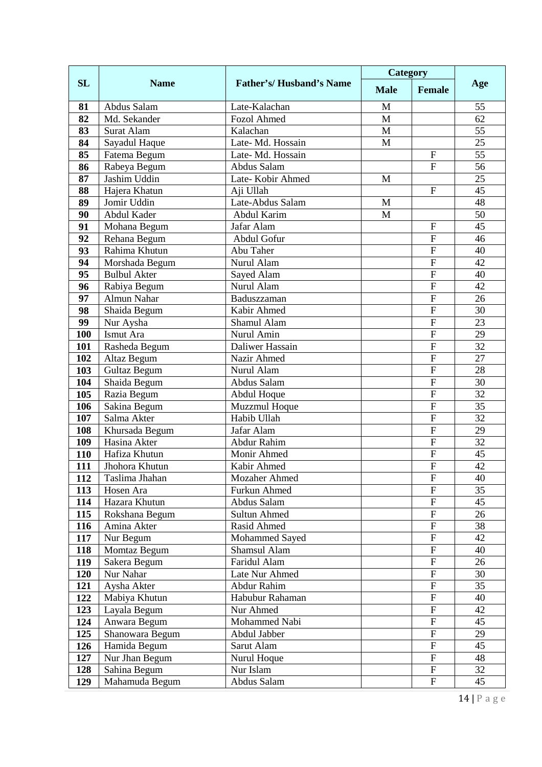|            |                            | <b>Father's/Husband's Name</b>     | Category    |                           |          |
|------------|----------------------------|------------------------------------|-------------|---------------------------|----------|
| <b>SL</b>  | <b>Name</b>                |                                    | <b>Male</b> | <b>Female</b>             | Age      |
| 81         | Abdus Salam                | Late-Kalachan                      | M           |                           | 55       |
| 82         | Md. Sekander               | <b>Fozol Ahmed</b>                 | M           |                           | 62       |
| 83         | Surat Alam                 | Kalachan                           | M           |                           | 55       |
| 84         | Sayadul Haque              | Late-Md. Hossain                   | M           |                           | 25       |
| 85         | Fatema Begum               | Late-Md. Hossain                   |             | $\mathbf{F}$              | 55       |
| 86         | Rabeya Begum               | Abdus Salam                        |             | $\mathbf{F}$              | 56       |
| 87         | Jashim Uddin               | Late-Kobir Ahmed                   | M           |                           | 25       |
| 88         | Hajera Khatun              | Aji Ullah                          |             | $\mathbf{F}$              | 45       |
| 89         | Jomir Uddin                | Late-Abdus Salam                   | M           |                           | 48       |
| 90         | Abdul Kader                | Abdul Karim                        | M           |                           | 50       |
| 91         | Mohana Begum               | Jafar Alam                         |             | $\mathbf F$               | 45       |
| 92         | Rehana Begum               | Abdul Gofur                        |             | F                         | 46       |
| 93         | Rahima Khutun              | Abu Taher                          |             | $\overline{F}$            | 40       |
| 94         | Morshada Begum             | Nurul Alam                         |             | $\overline{F}$            | 42       |
| 95         | <b>Bulbul Akter</b>        | Sayed Alam                         |             | $\overline{F}$            | 40       |
| 96         | Rabiya Begum               | Nurul Alam                         |             | ${\bf F}$                 | 42       |
| 97         | <b>Almun Nahar</b>         | Baduszzaman                        |             | $\overline{F}$            | 26       |
| 98         | Shaida Begum               | Kabir Ahmed                        |             | $\overline{F}$            | 30       |
| 99         | Nur Aysha                  | Shamul Alam                        |             | $\overline{F}$            | 23       |
| 100        | Ismut Ara                  | Nurul Amin                         |             | $\overline{F}$            | 29       |
| 101        | Rasheda Begum              | Daliwer Hassain                    |             | ${\bf F}$                 | 32       |
| 102        | Altaz Begum                | Nazir Ahmed                        |             | $\overline{F}$            | 27       |
| 103        | Gultaz Begum               | Nurul Alam                         |             | $\overline{F}$            | 28       |
| 104        | Shaida Begum               | Abdus Salam                        |             | $\overline{F}$            | 30       |
| 105        | Razia Begum                | Abdul Hoque                        |             | $\mathbf F$               | 32       |
| 106        | Sakina Begum               | Muzzmul Hoque                      |             | ${\bf F}$                 | 35       |
| 107        | Salma Akter                | Habib Ullah                        |             | $\mathbf F$               | 32       |
| 108        | Khursada Begum             | Jafar Alam                         |             | $\overline{F}$            | 29       |
| 109        | Hasina Akter               | Abdur Rahim                        |             | $\overline{F}$            | 32       |
| 110        | Hafiza Khutun              | Monir Ahmed                        |             | $\mathbf F$               | 45       |
| 111        | Jhohora Khutun             | Kabir Ahmed                        |             | $\overline{F}$            | 42       |
| 112        | Taslima Jhahan             | Mozaher Ahmed                      |             | F<br>$\overline{F}$       | 40<br>35 |
| 113        | Hosen Ara<br>Hazara Khutun | Furkun Ahmed                       |             | ${\bf F}$                 |          |
| 114        |                            | Abdus Salam<br><b>Sultun Ahmed</b> |             | $\overline{F}$            | 45<br>26 |
| 115        | Rokshana Begum             | Rasid Ahmed                        |             | ${\bf F}$                 |          |
| 116        | Amina Akter                |                                    |             | $\overline{F}$            | 38<br>42 |
| 117<br>118 | Nur Begum<br>Momtaz Begum  | Mohammed Sayed<br>Shamsul Alam     |             | ${\bf F}$                 | 40       |
| 119        | Sakera Begum               | Faridul Alam                       |             | ${\bf F}$                 | 26       |
| 120        | Nur Nahar                  | Late Nur Ahmed                     |             | $\overline{F}$            | 30       |
| 121        | Aysha Akter                | <b>Abdur Rahim</b>                 |             | $\rm F$                   | 35       |
| 122        | Mabiya Khutun              | Habubur Rahaman                    |             | ${\bf F}$                 | 40       |
| 123        | Layala Begum               | Nur Ahmed                          |             | ${\bf F}$                 | 42       |
| 124        | Anwara Begum               | Mohammed Nabi                      |             | ${\bf F}$                 | 45       |
| 125        | Shanowara Begum            | Abdul Jabber                       |             | ${\bf F}$                 | 29       |
| 126        | Hamida Begum               | Sarut Alam                         |             | ${\bf F}$                 | 45       |
| 127        | Nur Jhan Begum             | Nurul Hoque                        |             | $\boldsymbol{\mathrm{F}}$ | 48       |
| 128        | Sahina Begum               | Nur Islam                          |             | $\overline{F}$            | 32       |
| 129        | Mahamuda Begum             | Abdus Salam                        |             | $\boldsymbol{\mathrm{F}}$ | 45       |
|            |                            |                                    |             |                           |          |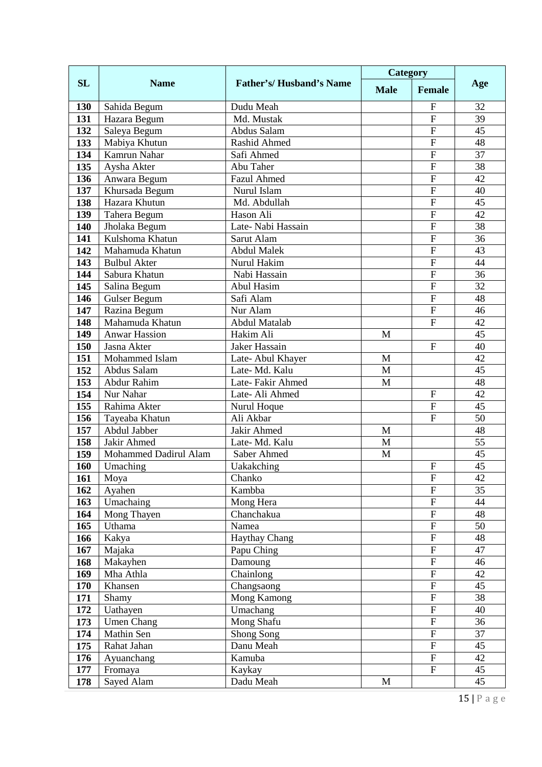|            |                                 | <b>Father's/Husband's Name</b> | Category     |                           |                 |
|------------|---------------------------------|--------------------------------|--------------|---------------------------|-----------------|
| <b>SL</b>  | <b>Name</b>                     |                                | <b>Male</b>  | <b>Female</b>             | Age             |
| 130        | Sahida Begum                    | Dudu Meah                      |              | F                         | 32              |
| 131        | Hazara Begum                    | Md. Mustak                     |              | F                         | 39              |
| 132        | Saleya Begum                    | Abdus Salam                    |              | $\overline{F}$            | 45              |
| 133        | Mabiya Khutun                   | <b>Rashid Ahmed</b>            |              | $\mathbf F$               | 48              |
| 134        | Kamrun Nahar                    | Safi Ahmed                     |              | ${\bf F}$                 | 37              |
| 135        | Aysha Akter                     | Abu Taher                      |              | $\overline{F}$            | 38              |
| 136        | Anwara Begum                    | <b>Fazul Ahmed</b>             |              | $\overline{F}$            | 42              |
| 137        | Khursada Begum                  | Nurul Islam                    |              | ${\bf F}$                 | 40              |
| 138        | Hazara Khutun                   | Md. Abdullah                   |              | $\overline{F}$            | 45              |
| 139        | Tahera Begum                    | Hason Ali                      |              | ${\bf F}$                 | 42              |
| 140        | Jholaka Begum                   | Late- Nabi Hassain             |              | ${\bf F}$                 | 38              |
| 141        | Kulshoma Khatun                 | Sarut Alam                     |              | $\overline{F}$            | 36              |
| 142        | Mahamuda Khatun                 | <b>Abdul Malek</b>             |              | $\overline{F}$            | 43              |
| 143        | <b>Bulbul Akter</b>             | Nurul Hakim                    |              | $\overline{F}$            | $\overline{44}$ |
| 144        | Sabura Khatun                   | Nabi Hassain<br>Abul Hasim     |              | ${\bf F}$<br>${\bf F}$    | 36              |
| 145        | Salina Begum                    | Safi Alam                      |              | $\mathbf F$               | 32<br>48        |
| 146        | Gulser Begum                    | Nur Alam                       |              | $\overline{F}$            | 46              |
| 147<br>148 | Razina Begum<br>Mahamuda Khatun | Abdul Matalab                  |              | $\overline{F}$            | 42              |
| 149        | <b>Anwar Hassion</b>            | Hakim Ali                      | M            |                           | 45              |
| 150        | Jasna Akter                     | Jaker Hassain                  |              | ${\bf F}$                 | 40              |
| 151        | Mohammed Islam                  | Late- Abul Khayer              | M            |                           | 42              |
| 152        | Abdus Salam                     | Late-Md. Kalu                  | M            |                           | 45              |
| 153        | Abdur Rahim                     | Late-Fakir Ahmed               | M            |                           | 48              |
| 154        | Nur Nahar                       | Late-Ali Ahmed                 |              | ${\bf F}$                 | 42              |
| 155        | Rahima Akter                    | Nurul Hoque                    |              | ${\bf F}$                 | 45              |
| 156        | Tayeaba Khatun                  | Ali Akbar                      |              | $\overline{F}$            | 50              |
| 157        | Abdul Jabber                    | Jakir Ahmed                    | M            |                           | 48              |
| 158        | Jakir Ahmed                     | Late-Md. Kalu                  | M            |                           | 55              |
| 159        | Mohammed Dadirul Alam           | Saber Ahmed                    | M            |                           | 45              |
| 160        | Umaching                        | <b>Uakakching</b>              |              | $\overline{F}$            | 45              |
| 161        | Moya                            | Chanko                         |              | $\boldsymbol{\mathrm{F}}$ | 42              |
| 162        | Ayahen                          | Kambba                         |              | $\overline{F}$            | 35              |
| 163        | Umachaing                       | Mong Hera                      |              | ${\bf F}$                 | 44              |
| 164        | Mong Thayen                     | Chanchakua                     |              | $\overline{F}$            | 48              |
| 165        | Uthama                          | Namea                          |              | ${\bf F}$                 | 50              |
| 166        | Kakya                           | <b>Haythay Chang</b>           |              | ${\bf F}$                 | 48              |
| 167        | Majaka                          | Papu Ching                     |              | ${\bf F}$                 | 47              |
| 168        | Makayhen                        | Damoung                        |              | ${\bf F}$                 | 46              |
| 169        | Mha Athla                       | Chainlong                      |              | $\overline{F}$            | 42              |
| 170        | Khansen                         | Changsaong                     |              | ${\bf F}$                 | 45              |
| 171        | Shamy                           | Mong Kamong                    |              | $\boldsymbol{\mathrm{F}}$ | 38              |
| 172        | Uathayen                        | Umachang                       |              | ${\bf F}$                 | 40              |
| 173        | <b>Umen Chang</b>               | Mong Shafu                     |              | ${\bf F}$                 | 36              |
| 174        | Mathin Sen                      | Shong Song                     |              | $\overline{F}$            | 37              |
| 175        | Rahat Jahan                     | Danu Meah                      |              | ${\bf F}$                 | 45              |
| 176        | Ayuanchang                      | Kamuba                         |              | $\overline{F}$            | 42              |
| 177        | Fromaya                         | Kaykay                         |              | $\overline{F}$            | 45              |
| 178        | Sayed Alam                      | Dadu Meah                      | $\mathbf{M}$ |                           | 45              |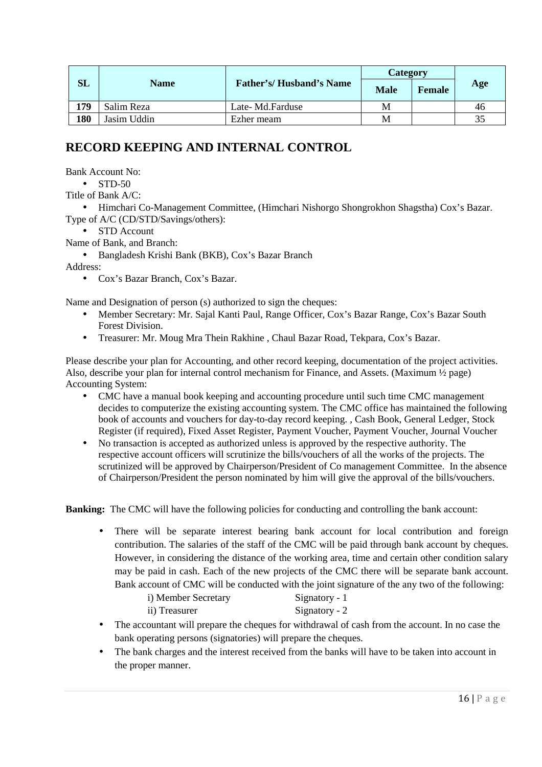|     |             | <b>Father's/Husband's Name</b> | Category    |        |     |
|-----|-------------|--------------------------------|-------------|--------|-----|
| SL  | <b>Name</b> |                                | <b>Male</b> | Female | Age |
| 179 | Salim Reza  | Late-Md.Farduse                | M           |        | 46  |
| 180 | Jasim Uddin | Ezher meam                     | М           |        | 35  |

## **RECORD KEEPING AND INTERNAL CONTROL**

Bank Account No:

 $\bullet$  STD-50

Title of Bank A/C:

• Himchari Co-Management Committee, (Himchari Nishorgo Shongrokhon Shagstha) Cox's Bazar. Type of A/C (CD/STD/Savings/others):

• STD Account

Name of Bank, and Branch:

• Bangladesh Krishi Bank (BKB), Cox's Bazar Branch

Address:

• Cox's Bazar Branch, Cox's Bazar.

Name and Designation of person (s) authorized to sign the cheques:

- Member Secretary: Mr. Sajal Kanti Paul, Range Officer, Cox's Bazar Range, Cox's Bazar South Forest Division.
- Treasurer: Mr. Moug Mra Thein Rakhine , Chaul Bazar Road, Tekpara, Cox's Bazar.

Please describe your plan for Accounting, and other record keeping, documentation of the project activities. Also, describe your plan for internal control mechanism for Finance, and Assets. (Maximum ½ page) Accounting System:

- CMC have a manual book keeping and accounting procedure until such time CMC management decides to computerize the existing accounting system. The CMC office has maintained the following book of accounts and vouchers for day-to-day record keeping. , Cash Book, General Ledger, Stock Register (if required), Fixed Asset Register, Payment Voucher, Payment Voucher, Journal Voucher
- No transaction is accepted as authorized unless is approved by the respective authority. The respective account officers will scrutinize the bills/vouchers of all the works of the projects. The scrutinized will be approved by Chairperson/President of Co management Committee. In the absence of Chairperson/President the person nominated by him will give the approval of the bills/vouchers.

**Banking:** The CMC will have the following policies for conducting and controlling the bank account:

There will be separate interest bearing bank account for local contribution and foreign contribution. The salaries of the staff of the CMC will be paid through bank account by cheques. However, in considering the distance of the working area, time and certain other condition salary may be paid in cash. Each of the new projects of the CMC there will be separate bank account. Bank account of CMC will be conducted with the joint signature of the any two of the following:

| i) Member Secretary | Signatory - $1$ |
|---------------------|-----------------|
| ii) Treasurer       | Signatory - $2$ |

- The accountant will prepare the cheques for withdrawal of cash from the account. In no case the bank operating persons (signatories) will prepare the cheques.
- The bank charges and the interest received from the banks will have to be taken into account in the proper manner.